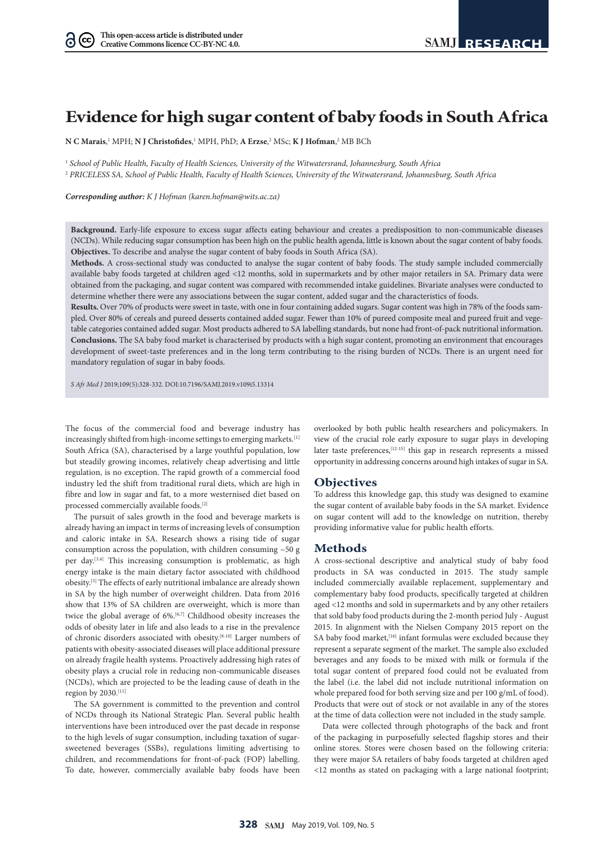# **Evidence for high sugar content of baby foods in South Africa**

 $N$  C Marais,<sup>1</sup> MPH;  $N$  J Christofides,<sup>1</sup> MPH, PhD; A Erzse,<sup>2</sup> MSc; K J Hofman,<sup>2</sup> MB BCh

<sup>1</sup> *School of Public Health, Faculty of Health Sciences, University of the Witwatersrand, Johannesburg, South Africa*

<sup>2</sup> *PRICELESS SA, School of Public Health, Faculty of Health Sciences, University of the Witwatersrand, Johannesburg, South Africa*

*Corresponding author: K J Hofman (karen.hofman@wits.ac.za)*

**Background.** Early-life exposure to excess sugar affects eating behaviour and creates a predisposition to non-communicable diseases (NCDs). While reducing sugar consumption has been high on the public health agenda, little is known about the sugar content of baby foods. **Objectives.** To describe and analyse the sugar content of baby foods in South Africa (SA).

**Methods.** A cross-sectional study was conducted to analyse the sugar content of baby foods. The study sample included commercially available baby foods targeted at children aged <12 months, sold in supermarkets and by other major retailers in SA. Primary data were obtained from the packaging, and sugar content was compared with recommended intake guidelines. Bivariate analyses were conducted to determine whether there were any associations between the sugar content, added sugar and the characteristics of foods.

**Results.** Over 70% of products were sweet in taste, with one in four containing added sugars. Sugar content was high in 78% of the foods sampled. Over 80% of cereals and pureed desserts contained added sugar. Fewer than 10% of pureed composite meal and pureed fruit and vegetable categories contained added sugar. Most products adhered to SA labelling standards, but none had front-of-pack nutritional information. **Conclusions.** The SA baby food market is characterised by products with a high sugar content, promoting an environment that encourages development of sweet-taste preferences and in the long term contributing to the rising burden of NCDs. There is an urgent need for mandatory regulation of sugar in baby foods.

*S Afr Med J* 2019;109(5):328-332. DOI:10.7196/SAMJ.2019.v109i5.13314

The focus of the commercial food and beverage industry has increasingly shifted from high-income settings to emerging markets.<sup>[1]</sup> South Africa (SA), characterised by a large youthful population, low but steadily growing incomes, relatively cheap advertising and little regulation, is no exception. The rapid growth of a commercial food industry led the shift from traditional rural diets, which are high in fibre and low in sugar and fat, to a more westernised diet based on processed commercially available foods.[2]

The pursuit of sales growth in the food and beverage markets is already having an impact in terms of increasing levels of consumption and caloric intake in SA. Research shows a rising tide of sugar consumption across the population, with children consuming ~50 g per day.[3,4] This increasing consumption is problematic, as high energy intake is the main dietary factor associated with childhood obesity.[5] The effects of early nutritional imbalance are already shown in SA by the high number of overweight children. Data from 2016 show that 13% of SA children are overweight, which is more than twice the global average of 6%.<sup>[6,7]</sup> Childhood obesity increases the odds of obesity later in life and also leads to a rise in the prevalence of chronic disorders associated with obesity.[8-10] Larger numbers of patients with obesity-associated diseases will place additional pressure on already fragile health systems. Proactively addressing high rates of obesity plays a crucial role in reducing non-communicable diseases (NCDs), which are projected to be the leading cause of death in the region by 2030.[11]

The SA government is committed to the prevention and control of NCDs through its National Strategic Plan. Several public health interventions have been introduced over the past decade in response to the high levels of sugar consumption, including taxation of sugarsweetened beverages (SSBs), regulations limiting advertising to children, and recommendations for front-of-pack (FOP) labelling. To date, however, commercially available baby foods have been

overlooked by both public health researchers and policymakers. In view of the crucial role early exposure to sugar plays in developing later taste preferences,<sup>[12-15]</sup> this gap in research represents a missed opportunity in addressing concerns around high intakes of sugar in SA.

# **Objectives**

To address this knowledge gap, this study was designed to examine the sugar content of available baby foods in the SA market. Evidence on sugar content will add to the knowledge on nutrition, thereby providing informative value for public health efforts.

# **Methods**

A cross-sectional descriptive and analytical study of baby food products in SA was conducted in 2015. The study sample included commercially available replacement, supplementary and complementary baby food products, specifically targeted at children aged <12 months and sold in supermarkets and by any other retailers that sold baby food products during the 2-month period July - August 2015. In alignment with the Nielsen Company 2015 report on the SA baby food market, <a>[16]</a> infant formulas were excluded because they represent a separate segment of the market. The sample also excluded beverages and any foods to be mixed with milk or formula if the total sugar content of prepared food could not be evaluated from the label (i.e. the label did not include nutritional information on whole prepared food for both serving size and per 100 g/mL of food). Products that were out of stock or not available in any of the stores at the time of data collection were not included in the study sample.

Data were collected through photographs of the back and front of the packaging in purposefully selected flagship stores and their online stores. Stores were chosen based on the following criteria: they were major SA retailers of baby foods targeted at children aged <12 months as stated on packaging with a large national footprint;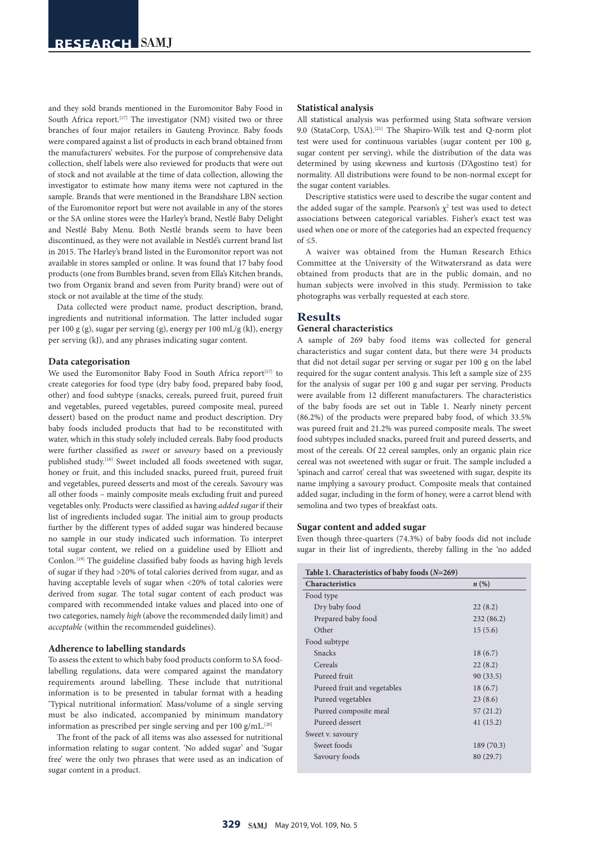and they sold brands mentioned in the Euromonitor Baby Food in South Africa report.<sup>[17]</sup> The investigator (NM) visited two or three branches of four major retailers in Gauteng Province. Baby foods were compared against a list of products in each brand obtained from the manufacturers' websites. For the purpose of comprehensive data collection, shelf labels were also reviewed for products that were out of stock and not available at the time of data collection, allowing the investigator to estimate how many items were not captured in the sample. Brands that were mentioned in the Brandshare LBN section of the Euromonitor report but were not available in any of the stores or the SA online stores were the Harley's brand, Nestlé Baby Delight and Nestlé Baby Menu. Both Nestlé brands seem to have been discontinued, as they were not available in Nestlé's current brand list in 2015. The Harley's brand listed in the Euromonitor report was not available in stores sampled or online. It was found that 17 baby food products (one from Bumbles brand, seven from Ella's Kitchen brands, two from Organix brand and seven from Purity brand) were out of stock or not available at the time of the study.

Data collected were product name, product description, brand, ingredients and nutritional information. The latter included sugar per 100 g (g), sugar per serving (g), energy per 100 mL/g (kJ), energy per serving (kJ), and any phrases indicating sugar content.

#### **Data categorisation**

We used the Euromonitor Baby Food in South Africa report<sup>[17]</sup> to create categories for food type (dry baby food, prepared baby food, other) and food subtype (snacks, cereals, pureed fruit, pureed fruit and vegetables, pureed vegetables, pureed composite meal, pureed dessert) based on the product name and product description. Dry baby foods included products that had to be reconstituted with water, which in this study solely included cereals. Baby food products were further classified as *sweet* or *savoury* based on a previously published study.[18] Sweet included all foods sweetened with sugar, honey or fruit, and this included snacks, pureed fruit, pureed fruit and vegetables, pureed desserts and most of the cereals. Savoury was all other foods – mainly composite meals excluding fruit and pureed vegetables only. Products were classified as having *added sugar*if their list of ingredients included sugar. The initial aim to group products further by the different types of added sugar was hindered because no sample in our study indicated such information. To interpret total sugar content, we relied on a guideline used by Elliott and Conlon.[19] The guideline classified baby foods as having high levels of sugar if they had >20% of total calories derived from sugar, and as having acceptable levels of sugar when <20% of total calories were derived from sugar. The total sugar content of each product was compared with recommended intake values and placed into one of two categories, namely *high* (above the recommended daily limit) and *acceptable* (within the recommended guidelines).

#### **Adherence to labelling standards**

To assess the extent to which baby food products conform to SA foodlabelling regulations, data were compared against the mandatory requirements around labelling. These include that nutritional information is to be presented in tabular format with a heading 'Typical nutritional information'. Mass/volume of a single serving must be also indicated, accompanied by minimum mandatory information as prescribed per single serving and per 100 g/mL.<sup>[20]</sup>

The front of the pack of all items was also assessed for nutritional information relating to sugar content. 'No added sugar' and 'Sugar free' were the only two phrases that were used as an indication of sugar content in a product.

## **Statistical analysis**

All statistical analysis was performed using Stata software version 9.0 (StataCorp, USA).[21] The Shapiro-Wilk test and Q-norm plot test were used for continuous variables (sugar content per 100 g, sugar content per serving), while the distribution of the data was determined by using skewness and kurtosis (D'Agostino test) for normality. All distributions were found to be non-normal except for the sugar content variables.

Descriptive statistics were used to describe the sugar content and the added sugar of the sample. Pearson's  $\chi^2$  test was used to detect associations between categorical variables. Fisher's exact test was used when one or more of the categories had an expected frequency  $\alpha f < 5$ 

A waiver was obtained from the Human Research Ethics Committee at the University of the Witwatersrand as data were obtained from products that are in the public domain, and no human subjects were involved in this study. Permission to take photographs was verbally requested at each store.

# **Results**

# **General characteristics**

A sample of 269 baby food items was collected for general characteristics and sugar content data, but there were 34 products that did not detail sugar per serving or sugar per 100 g on the label required for the sugar content analysis. This left a sample size of 235 for the analysis of sugar per 100 g and sugar per serving. Products were available from 12 different manufacturers. The characteristics of the baby foods are set out in Table 1. Nearly ninety percent (86.2%) of the products were prepared baby food, of which 33.5% was pureed fruit and 21.2% was pureed composite meals. The sweet food subtypes included snacks, pureed fruit and pureed desserts, and most of the cereals. Of 22 cereal samples, only an organic plain rice cereal was not sweetened with sugar or fruit. The sample included a 'spinach and carrot' cereal that was sweetened with sugar, despite its name implying a savoury product. Composite meals that contained added sugar, including in the form of honey, were a carrot blend with semolina and two types of breakfast oats.

## **Sugar content and added sugar**

Even though three-quarters (74.3%) of baby foods did not include sugar in their list of ingredients, thereby falling in the 'no added

| Table 1. Characteristics of baby foods $(N=269)$ |                    |  |  |
|--------------------------------------------------|--------------------|--|--|
| <b>Characteristics</b>                           | $n\left(\%\right)$ |  |  |
| Food type                                        |                    |  |  |
| Dry baby food                                    | 22(8.2)            |  |  |
| Prepared baby food                               | 232 (86.2)         |  |  |
| Other                                            | 15(5.6)            |  |  |
| Food subtype                                     |                    |  |  |
| Snacks                                           | 18(6.7)            |  |  |
| Cereals                                          | 22(8.2)            |  |  |
| Pureed fruit                                     | 90(33.5)           |  |  |
| Pureed fruit and vegetables                      | 18(6.7)            |  |  |
| Pureed vegetables                                | 23(8.6)            |  |  |
| Pureed composite meal                            | 57(21.2)           |  |  |
| Pureed dessert                                   | 41 (15.2)          |  |  |
| Sweet v. savoury                                 |                    |  |  |
| Sweet foods                                      | 189 (70.3)         |  |  |
| Savoury foods                                    | 80 (29.7)          |  |  |
|                                                  |                    |  |  |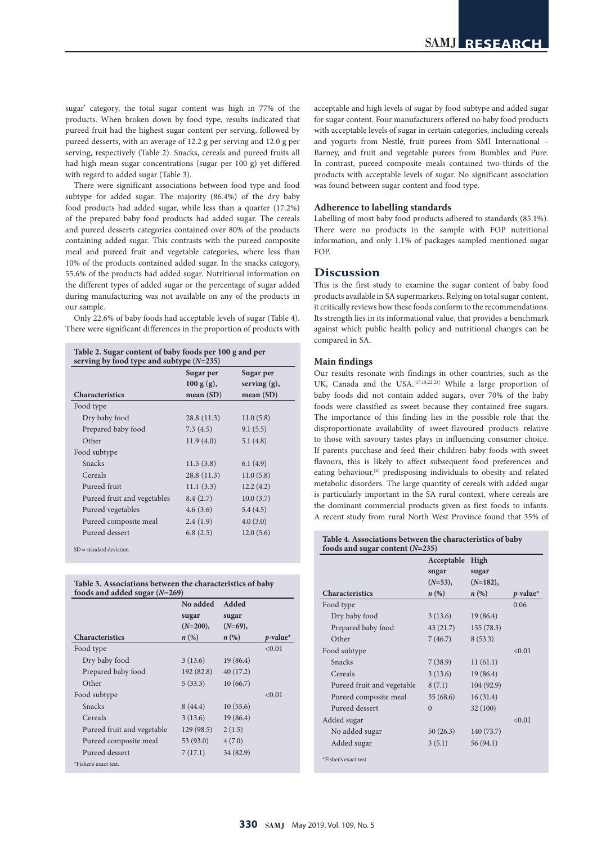sugar' category, the total sugar content was high in 77% of the products. When broken down by food type, results indicated that pureed fruit had the highest sugar content per serving, followed by pureed desserts, with an average of 12.2 g per serving and 12.0 g per serving, respectively (Table 2). Snacks, cereals and pureed fruits all had high mean sugar concentrations (sugar per 100 g) yet differed with regard to added sugar (Table 3).

There were significant associations between food type and food subtype for added sugar. The majority (86.4%) of the dry baby food products had added sugar, while less than a quarter (17.2%) of the prepared baby food products had added sugar. The cereals and pureed desserts categories contained over 80% of the products containing added sugar. This contrasts with the pureed composite meal and pureed fruit and vegetable categories, where less than 10% of the products contained added sugar. In the snacks category, 55.6% of the products had added sugar. Nutritional information on the different types of added sugar or the percentage of sugar added during manufacturing was not available on any of the products in our sample.

Only 22.6% of baby foods had acceptable levels of sugar (Table 4). There were significant differences in the proportion of products with

**Table 2. Sugar content of baby foods per 100 g and per serving by food type and subtype (***N***=235)**

|                             | Sugar per   | Sugar per       |
|-----------------------------|-------------|-----------------|
|                             | 100 g(g),   | serving $(g)$ , |
| <b>Characteristics</b>      | mean $(SD)$ | mean(SD)        |
| Food type                   |             |                 |
| Dry baby food               | 28.8 (11.3) | 11.0(5.8)       |
| Prepared baby food          | 7.3(4.5)    | 9.1(5.5)        |
| Other                       | 11.9(4.0)   | 5.1(4.8)        |
| Food subtype                |             |                 |
| <b>Snacks</b>               | 11.5(3.8)   | 6.1(4.9)        |
| Cereals                     | 28.8(11.3)  | 11.0(5.8)       |
| Pureed fruit                | 11.1(3.3)   | 12.2(4.2)       |
| Pureed fruit and vegetables | 8.4(2.7)    | 10.0(3.7)       |
| Pureed vegetables           | 4.6(3.6)    | 5.4(4.5)        |
| Pureed composite meal       | 2.4(1.9)    | 4.0(3.0)        |
| Pureed dessert              | 6.8(2.5)    | 12.0(5.6)       |

SD = standard deviation.

| Table 3. Associations between the characteristics of baby |  |
|-----------------------------------------------------------|--|
| foods and added sugar $(N=269)$                           |  |

|                            | No added           | Added              |                         |
|----------------------------|--------------------|--------------------|-------------------------|
|                            | sugar              | sugar              |                         |
|                            | $(N=200),$         | $(N=69)$ ,         |                         |
| <b>Characteristics</b>     | $n\left(\%\right)$ | $n\left(\%\right)$ | $p$ -value <sup>*</sup> |
| Food type                  |                    |                    | < 0.01                  |
| Dry baby food              | 3(13.6)            | 19 (86.4)          |                         |
| Prepared baby food         | 192(82.8)          | 40 (17.2)          |                         |
| Other                      | 5(33.3)            | 10(66.7)           |                         |
| Food subtype               |                    |                    | < 0.01                  |
| Snacks                     | 8(44.4)            | 10(55.6)           |                         |
| Cereals                    | 3(13.6)            | 19(86.4)           |                         |
| Pureed fruit and vegetable | 129(98.5)          | 2(1.5)             |                         |
| Pureed composite meal      | 53(93.0)           | 4(7.0)             |                         |
| Pureed dessert             | 7(17.1)            | 34 (82.9)          |                         |
| *Fisher's exact test.      |                    |                    |                         |
|                            |                    |                    |                         |

acceptable and high levels of sugar by food subtype and added sugar for sugar content. Four manufacturers offered no baby food products with acceptable levels of sugar in certain categories, including cereals and yogurts from Nestlé, fruit purees from SMI International – Barney, and fruit and vegetable purees from Bumbles and Pure. In contrast, pureed composite meals contained two-thirds of the products with acceptable levels of sugar. No significant association was found between sugar content and food type.

## **Adherence to labelling standards**

Labelling of most baby food products adhered to standards (85.1%). There were no products in the sample with FOP nutritional information, and only 1.1% of packages sampled mentioned sugar FOP.

# **Discussion**

This is the first study to examine the sugar content of baby food products available in SA supermarkets. Relying on total sugar content, it critically reviews how these foods conform to the recommendations. Its strength lies in its informational value, that provides a benchmark against which public health policy and nutritional changes can be compared in SA.

#### **Main findings**

Our results resonate with findings in other countries, such as the UK, Canada and the USA.<sup>[17,18,22,23]</sup> While a large proportion of baby foods did not contain added sugars, over 70% of the baby foods were classified as sweet because they contained free sugars. The importance of this finding lies in the possible role that the disproportionate availability of sweet-flavoured products relative to those with savoury tastes plays in influencing consumer choice. If parents purchase and feed their children baby foods with sweet flavours, this is likely to affect subsequent food preferences and eating behaviour,<sup>[4]</sup> predisposing individuals to obesity and related metabolic disorders. The large quantity of cereals with added sugar is particularly important in the SA rural context, where cereals are the dominant commercial products given as first foods to infants. A recent study from rural North West Province found that 35% of

#### **Table 4. Associations between the characteristics of baby foods and sugar content (***N***=235)**

|                            | Acceptable         | High               |             |
|----------------------------|--------------------|--------------------|-------------|
|                            | sugar              | sugar              |             |
|                            | $(N=53)$ ,         | $(N=182),$         |             |
| <b>Characteristics</b>     | $n\left(\%\right)$ | $n\left(\%\right)$ | $p$ -value* |
| Food type                  |                    |                    | 0.06        |
| Dry baby food              | 3(13.6)            | 19(86.4)           |             |
| Prepared baby food         | 43(21.7)           | 155(78.3)          |             |
| Other                      | 7(46.7)            | 8(53.3)            |             |
| Food subtype               |                    |                    | < 0.01      |
| Snacks                     | 7(38.9)            | 11(61.1)           |             |
| Cereals                    | 3(13.6)            | 19(86.4)           |             |
| Pureed fruit and vegetable | 8(7.1)             | 104(92.9)          |             |
| Pureed composite meal      | 35(68.6)           | 16(31.4)           |             |
| Pureed dessert             | $\theta$           | 32(100)            |             |
| Added sugar                |                    |                    | < 0.01      |
| No added sugar             | 50(26.3)           | 140(73.7)          |             |
| Added sugar                | 3(5.1)             | 56 (94.1)          |             |
| *Fisher's exact test.      |                    |                    |             |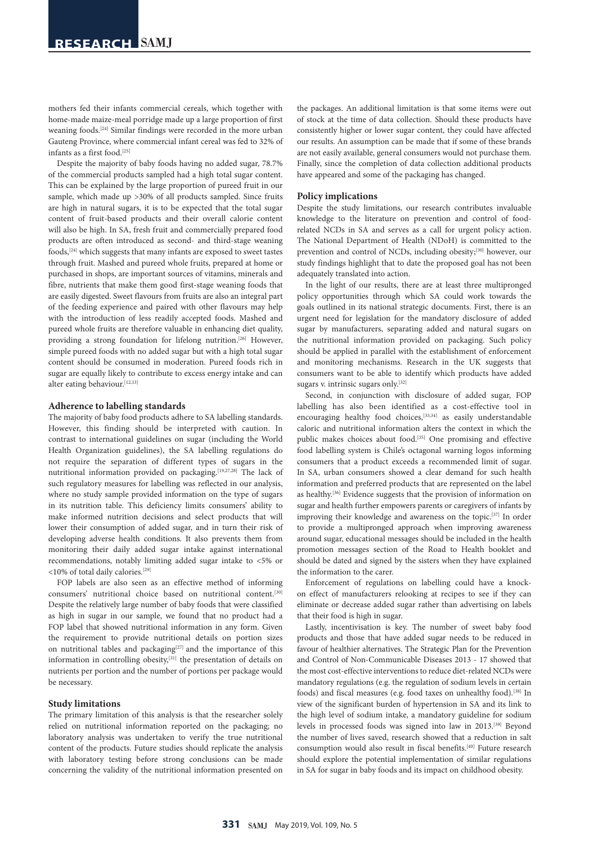mothers fed their infants commercial cereals, which together with home-made maize-meal porridge made up a large proportion of first weaning foods.[24] Similar findings were recorded in the more urban Gauteng Province, where commercial infant cereal was fed to 32% of infants as a first food.<sup>[25]</sup>

Despite the majority of baby foods having no added sugar, 78.7% of the commercial products sampled had a high total sugar content. This can be explained by the large proportion of pureed fruit in our sample, which made up >30% of all products sampled. Since fruits are high in natural sugars, it is to be expected that the total sugar content of fruit-based products and their overall calorie content will also be high. In SA, fresh fruit and commercially prepared food products are often introduced as second- and third-stage weaning foods,[24] which suggests that many infants are exposed to sweet tastes through fruit. Mashed and pureed whole fruits, prepared at home or purchased in shops, are important sources of vitamins, minerals and fibre, nutrients that make them good first-stage weaning foods that are easily digested. Sweet flavours from fruits are also an integral part of the feeding experience and paired with other flavours may help with the introduction of less readily accepted foods. Mashed and pureed whole fruits are therefore valuable in enhancing diet quality, providing a strong foundation for lifelong nutrition.<sup>[26]</sup> However, simple pureed foods with no added sugar but with a high total sugar content should be consumed in moderation. Pureed foods rich in sugar are equally likely to contribute to excess energy intake and can alter eating behaviour.[12,13]

#### **Adherence to labelling standards**

The majority of baby food products adhere to SA labelling standards. However, this finding should be interpreted with caution. In contrast to international guidelines on sugar (including the World Health Organization guidelines), the SA labelling regulations do not require the separation of different types of sugars in the nutritional information provided on packaging.<sup>[19,27,28]</sup> The lack of such regulatory measures for labelling was reflected in our analysis, where no study sample provided information on the type of sugars in its nutrition table. This deficiency limits consumers' ability to make informed nutrition decisions and select products that will lower their consumption of added sugar, and in turn their risk of developing adverse health conditions. It also prevents them from monitoring their daily added sugar intake against international recommendations, notably limiting added sugar intake to <5% or <10% of total daily calories.[29]

FOP labels are also seen as an effective method of informing consumers' nutritional choice based on nutritional content.[30] Despite the relatively large number of baby foods that were classified as high in sugar in our sample, we found that no product had a FOP label that showed nutritional information in any form. Given the requirement to provide nutritional details on portion sizes on nutritional tables and packaging<sup>[27]</sup> and the importance of this information in controlling obesity,<sup>[31]</sup> the presentation of details on nutrients per portion and the number of portions per package would be necessary.

# **Study limitations**

The primary limitation of this analysis is that the researcher solely relied on nutritional information reported on the packaging; no laboratory analysis was undertaken to verify the true nutritional content of the products. Future studies should replicate the analysis with laboratory testing before strong conclusions can be made concerning the validity of the nutritional information presented on

the packages. An additional limitation is that some items were out of stock at the time of data collection. Should these products have consistently higher or lower sugar content, they could have affected our results. An assumption can be made that if some of these brands are not easily available, general consumers would not purchase them. Finally, since the completion of data collection additional products have appeared and some of the packaging has changed.

## **Policy implications**

Despite the study limitations, our research contributes invaluable knowledge to the literature on prevention and control of foodrelated NCDs in SA and serves as a call for urgent policy action. The National Department of Health (NDoH) is committed to the prevention and control of NCDs, including obesity;<sup>[30]</sup> however, our study findings highlight that to date the proposed goal has not been adequately translated into action.

In the light of our results, there are at least three multipronged policy opportunities through which SA could work towards the goals outlined in its national strategic documents. First, there is an urgent need for legislation for the mandatory disclosure of added sugar by manufacturers, separating added and natural sugars on the nutritional information provided on packaging. Such policy should be applied in parallel with the establishment of enforcement and monitoring mechanisms. Research in the UK suggests that consumers want to be able to identify which products have added sugars v. intrinsic sugars only.<sup>[32]</sup>

Second, in conjunction with disclosure of added sugar, FOP labelling has also been identified as a cost-effective tool in encouraging healthy food choices,<sup>[33,34]</sup> as easily understandable caloric and nutritional information alters the context in which the public makes choices about food.[35] One promising and effective food labelling system is Chile's octagonal warning logos informing consumers that a product exceeds a recommended limit of sugar. In SA, urban consumers showed a clear demand for such health information and preferred products that are represented on the label as healthy.<sup>[36]</sup> Evidence suggests that the provision of information on sugar and health further empowers parents or caregivers of infants by improving their knowledge and awareness on the topic.[37] In order to provide a multipronged approach when improving awareness around sugar, educational messages should be included in the health promotion messages section of the Road to Health booklet and should be dated and signed by the sisters when they have explained the information to the carer.

Enforcement of regulations on labelling could have a knockon effect of manufacturers relooking at recipes to see if they can eliminate or decrease added sugar rather than advertising on labels that their food is high in sugar.

Lastly, incentivisation is key. The number of sweet baby food products and those that have added sugar needs to be reduced in favour of healthier alternatives. The Strategic Plan for the Prevention and Control of Non-Communicable Diseases 2013 - 17 showed that the most cost-effective interventions to reduce diet-related NCDs were mandatory regulations (e.g. the regulation of sodium levels in certain foods) and fiscal measures (e.g. food taxes on unhealthy food).<sup>[38]</sup> In view of the significant burden of hypertension in SA and its link to the high level of sodium intake, a mandatory guideline for sodium levels in processed foods was signed into law in 2013.[39] Beyond the number of lives saved, research showed that a reduction in salt consumption would also result in fiscal benefits.[40] Future research should explore the potential implementation of similar regulations in SA for sugar in baby foods and its impact on childhood obesity.